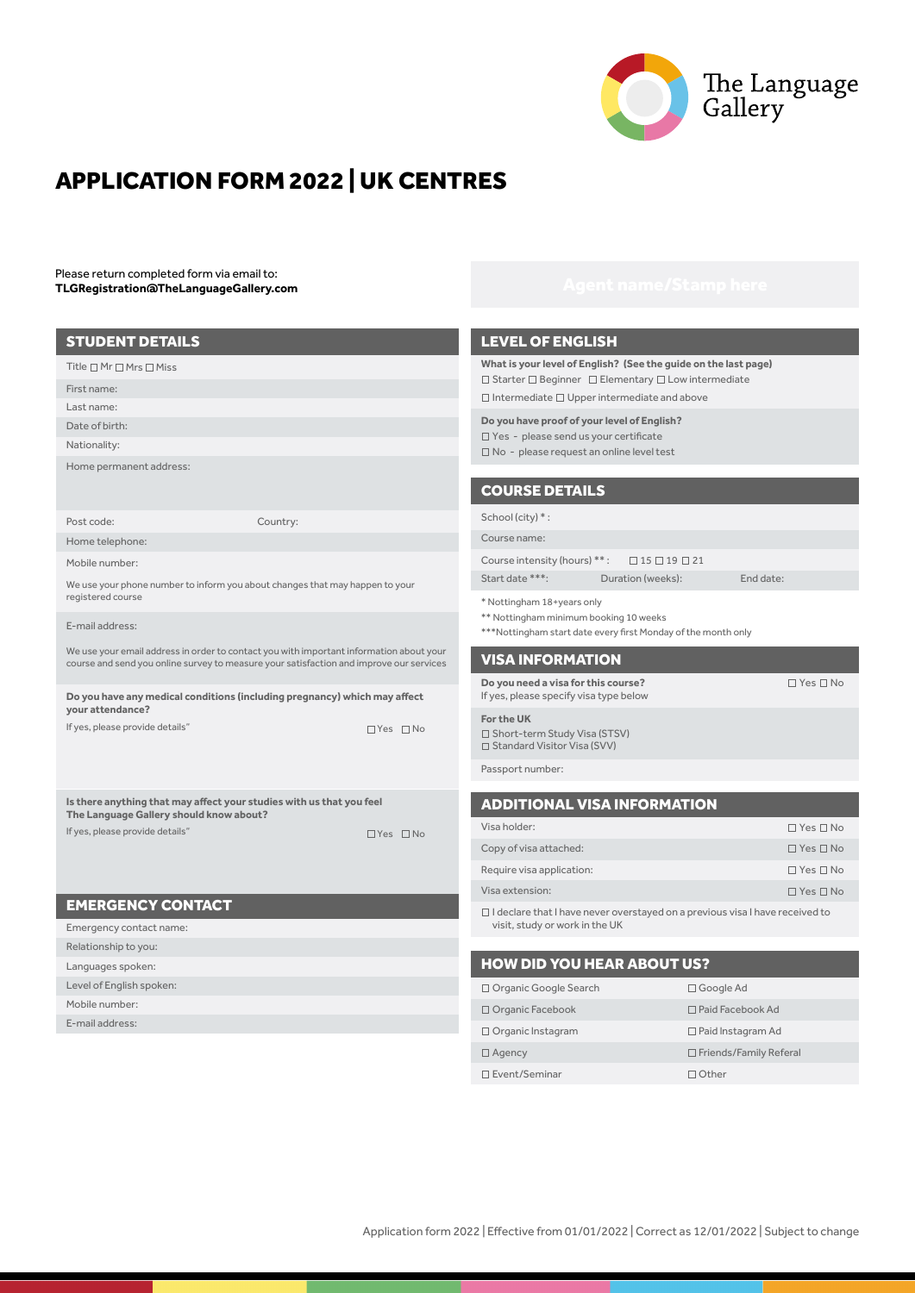

# APPLICATION FORM 2022 | UK CENTRES

Please return completed form via email to: **TLGRegistration@TheLanguageGallery.com**

Level of English spoken:

E-mail address: Mobile number:

# STUDENT DETAILS Title  $\square$  Mr  $\square$  Mrs  $\square$  Miss First name: Last name: Date of birth: Nationality: Home permanent address: Post code: Home telephone: Mobile number: E-mail address: We use your phone number to inform you about changes that may happen to your registered course We use your email address in order to contact you with important information about your course and send you online survey to measure your satisfaction and improve our services Country: EMERGENCY CONTACT Emergency contact name: Languages spoken: Relationship to you: **Do you have any medical conditions (including pregnancy) which may affect your attendance?**  If yes, please provide details"  $\Box$  Yes  $\Box$  No **Is there anything that may affect your studies with us that you feel The Language Gallery should know about?**  If yes, please provide details"  $\Box$  Yes  $\Box$  No

| <b>HOW</b> |
|------------|
| □ Organi   |
| □ Organi   |
| □ Organi   |
|            |

# LEVEL OF ENGLISH

**What is your level of English? (See the guide on the last page)** Starter □ Beginner □ Elementary □ Low intermediate  $\square$  Intermediate  $\square$  Upper intermediate and above

**Do you have proof of your level of English?** 

□ Yes - please send us your certificate No - please request an online level test

# COURSE DETAILS

# School (city)  $*$ :

Course name:

- Course intensity (hours) \*\*:  $\Box$  15  $\Box$  19  $\Box$  21
- Start date \*\*\*: Duration (weeks): End date:

\* Nottingham 18+years only

- \*\* Nottingham minimum booking 10 weeks
- \*\*\*Nottingham start date every first Monday of the month only

# VISA INFORMATION

**Do you need a visa for this course?** If yes, please specify visa type below

**For the UK** □ Short-term Study Visa (STSV) □ Standard Visitor Visa (SVV)

Passport number:

# ADDITIONAL VISA INFORMATION

| Visa holder:                                                                        | $\Box$ Yes $\Box$ No |  |
|-------------------------------------------------------------------------------------|----------------------|--|
| Copy of visa attached:                                                              | $\Box$ Yes $\Box$ No |  |
| Require visa application:                                                           | $\Box$ Yes $\Box$ No |  |
| Visa extension:                                                                     | $\Box$ Yes $\Box$ No |  |
| $\Box$ I declare that I have never overstayed on a previous visa I have received to |                      |  |

 $\Box$  Yes  $\Box$  No

visit, study or work in the UK

| <b>HOW DID YOU HEAR ABOUT US?</b> |                               |  |  |
|-----------------------------------|-------------------------------|--|--|
| □ Organic Google Search           | $\Box$ Google Ad              |  |  |
| Organic Facebook                  | $\Box$ Paid Facebook Ad       |  |  |
| $\Box$ Organic Instagram          | $\Box$ Paid Instagram Ad      |  |  |
| $\Box$ Agency                     | $\Box$ Friends/Family Referal |  |  |
| □ Event/Seminar                   | $\Box$ Other                  |  |  |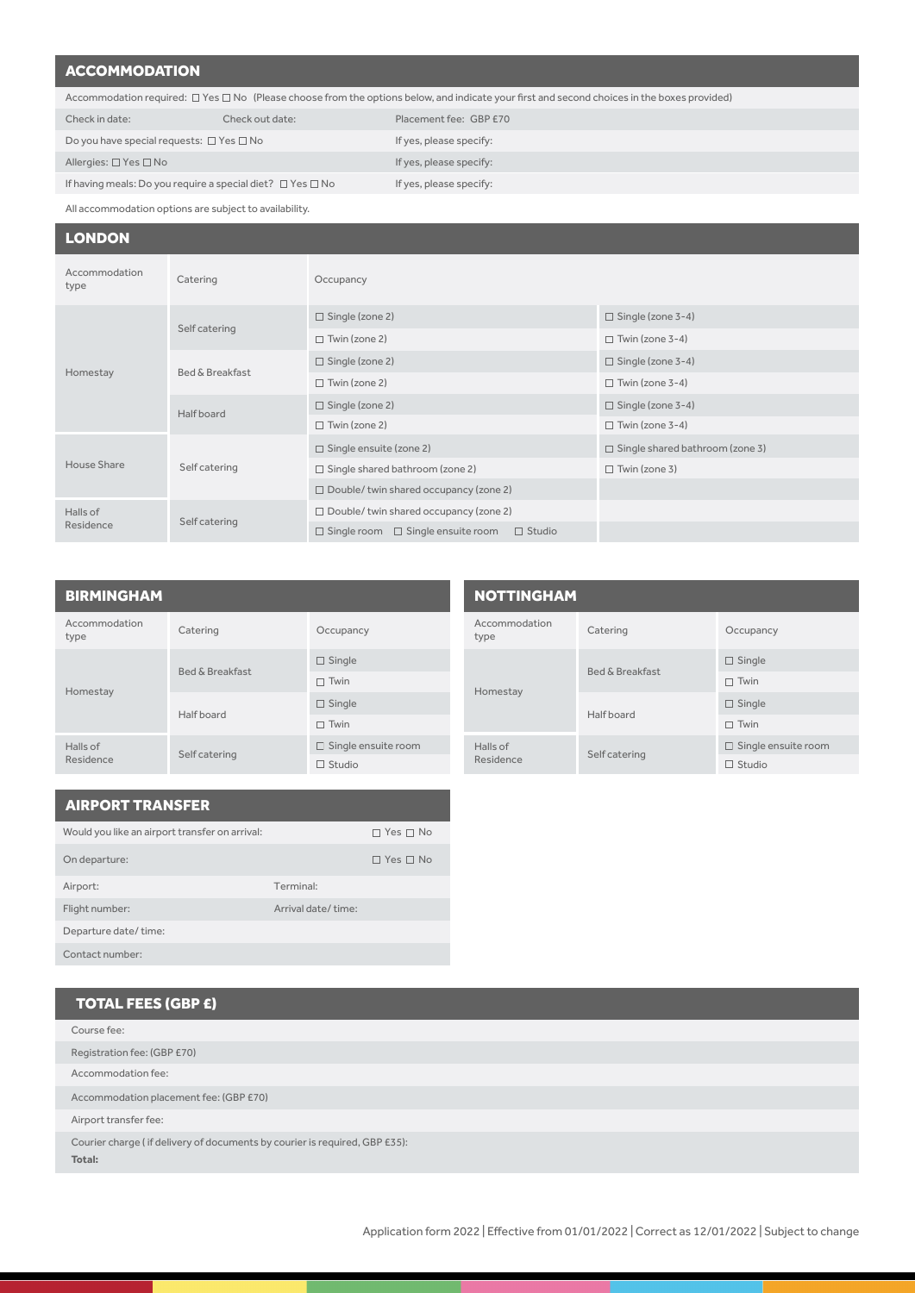# **ACCOMMODATION**

| Accommodation required: $\Box$ Yes $\Box$ No (Please choose from the options below, and indicate your first and second choices in the boxes provided) |                 |                         |  |
|-------------------------------------------------------------------------------------------------------------------------------------------------------|-----------------|-------------------------|--|
| Check in date:                                                                                                                                        | Check out date: | Placement fee: GBP £70  |  |
| Do you have special requests: $\square$ Yes $\square$ No                                                                                              |                 | If yes, please specify: |  |

Allergies: □ Yes □ No

If yes, please specify:

If yes, please specify:

If having meals: Do you require a special diet?  $\Box$  Yes  $\Box$  No All accommodation options are subject to availability.

# LONDON

| Accommodation<br>type | Catering                                     | Occupancy                                                         |                                        |
|-----------------------|----------------------------------------------|-------------------------------------------------------------------|----------------------------------------|
|                       | Self catering<br>Bed & Breakfast<br>Homestay | $\Box$ Single (zone 2)                                            | $\Box$ Single (zone 3-4)               |
|                       |                                              | $\Box$ Twin (zone 2)                                              | $\Box$ Twin (zone 3-4)                 |
|                       |                                              | $\Box$ Single (zone 2)                                            | $\Box$ Single (zone 3-4)               |
|                       |                                              | $\Box$ Twin (zone 2)                                              | $\Box$ Twin (zone 3-4)                 |
|                       | Half board                                   | $\Box$ Single (zone 2)                                            | $\Box$ Single (zone 3-4)               |
|                       |                                              | $\Box$ Twin (zone 2)                                              | $\Box$ Twin (zone 3-4)                 |
|                       | Self catering                                | $\Box$ Single ensuite (zone 2)                                    | $\Box$ Single shared bathroom (zone 3) |
| House Share           |                                              | $\Box$ Single shared bathroom (zone 2)                            | $\Box$ Twin (zone 3)                   |
|                       |                                              | $\Box$ Double/ twin shared occupancy (zone 2)                     |                                        |
| Halls of              | Self catering                                | $\Box$ Double/ twin shared occupancy (zone 2)                     |                                        |
| Residence             |                                              | $\Box$ Single ensuite room<br>$\Box$ Studio<br>$\Box$ Single room |                                        |

# BIRMINGHAM

| Accommodation<br>type | Catering                   | Occupancy                  |
|-----------------------|----------------------------|----------------------------|
|                       | <b>Bed &amp; Breakfast</b> | $\Box$ Single              |
| Homestay              |                            | $\Box$ Twin                |
|                       | Half board                 | $\Box$ Single              |
|                       |                            | Twin                       |
| Halls of              | Self catering              | $\Box$ Single ensuite room |
| Residence             |                            | Studio                     |

|                                   | <b>NOTTINGHAM</b>     |                   |                            |
|-----------------------------------|-----------------------|-------------------|----------------------------|
|                                   | Accommodation<br>type | Catering          | Occupancy                  |
| Homestay<br>Halls of<br>Residence |                       |                   | $\Box$ Single              |
|                                   |                       | Bed & Breakfast   | $\Box$ Twin                |
|                                   |                       | <b>Half</b> board | $\Box$ Single              |
|                                   |                       |                   | $\Box$ Twin                |
|                                   |                       | Self catering     | $\Box$ Single ensuite room |
|                                   |                       |                   | $\Box$ Studio              |

| <b>AIRPORT TRANSFER</b>                        |                    |                      |
|------------------------------------------------|--------------------|----------------------|
| Would you like an airport transfer on arrival: |                    | $\Box$ Yes $\Box$ No |
| On departure:                                  |                    | $\Box$ Yes $\Box$ No |
| Airport:                                       | Terminal:          |                      |
| Flight number:                                 | Arrival date/time: |                      |
| Departure date/time:                           |                    |                      |
| Contact number:                                |                    |                      |

| <b>TOTAL FEES (GBP £)</b>                                                            |
|--------------------------------------------------------------------------------------|
| Course fee:                                                                          |
| Registration fee: (GBP £70)                                                          |
| Accommodation fee:                                                                   |
| Accommodation placement fee: (GBP £70)                                               |
| Airport transfer fee:                                                                |
| Courier charge (if delivery of documents by courier is required, GBP £35):<br>Total: |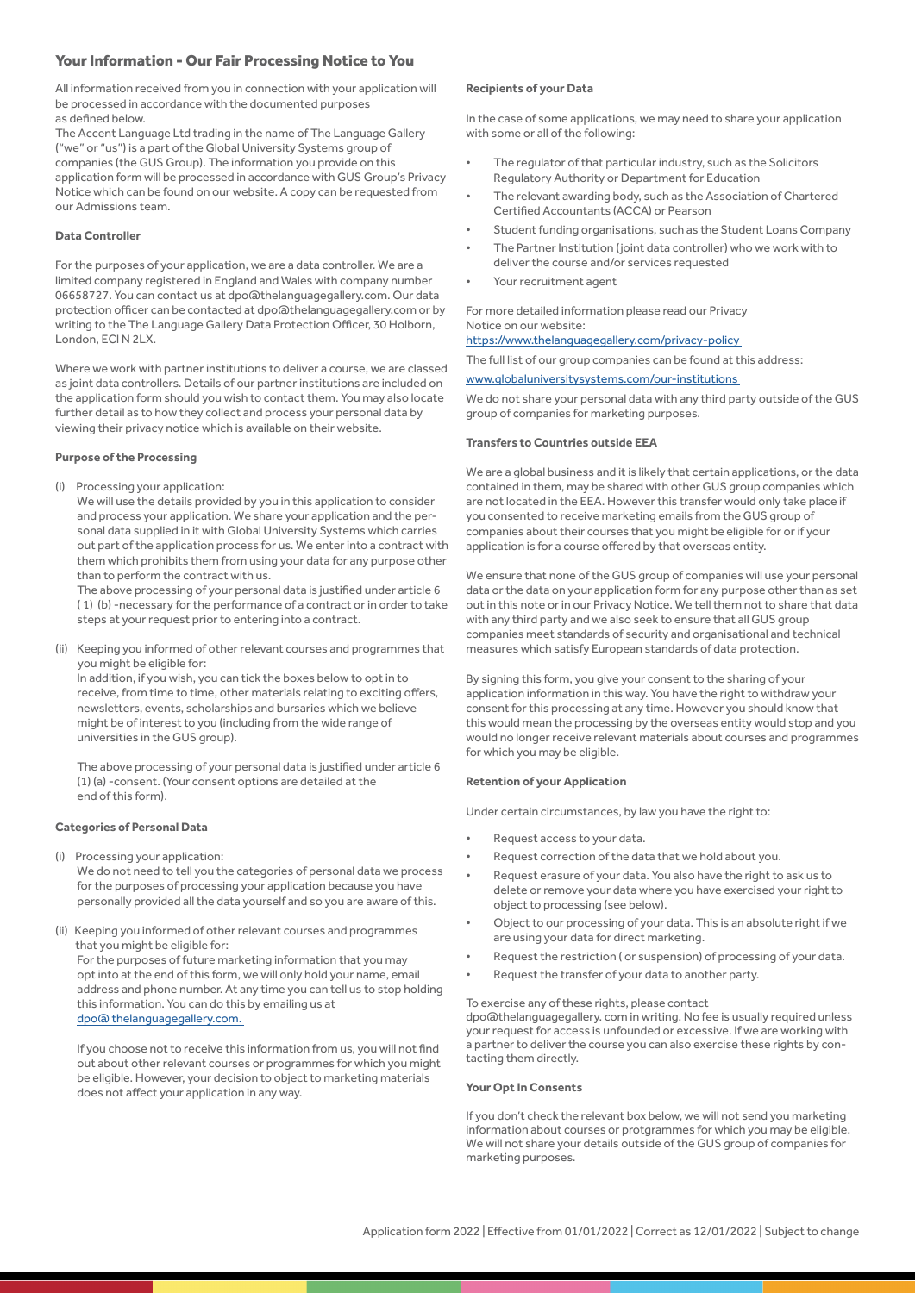# Your Information - Our Fair Processing Notice to You

All information received from you in connection with your application will be processed in accordance with the documented purposes as defined below.

The Accent Language Ltd trading in the name of The Language Gallery ("we" or "us") is a part of the Global University Systems group of companies (the GUS Group). The information you provide on this application form will be processed in accordance with GUS Group's Privacy Notice which can be found on our website. A copy can be requested from our Admissions team.

### **Data Controller**

For the purposes of your application, we are a data controller. We are a limited company registered in England and Wales with company number 06658727. You can contact us at dpo@thelanguagegallery.com. Our data protection officer can be contacted at dpo@thelanguagegallery.com or by writing to the The Language Gallery Data Protection Officer, 30 Holborn, London, ECl N 2LX.

Where we work with partner institutions to deliver a course, we are classed as joint data controllers. Details of our partner institutions are included on the application form should you wish to contact them. You may also locate further detail as to how they collect and process your personal data by viewing their privacy notice which is available on their website.

#### **Purpose of the Processing**

(i) Processing your application:

We will use the details provided by you in this application to consider and process your application. We share your application and the personal data supplied in it with Global University Systems which carries out part of the application process for us. We enter into a contract with them which prohibits them from using your data for any purpose other than to perform the contract with us.

The above processing of your personal data is justified under article 6 ( 1) (b) -necessary for the performance of a contract or in order to take steps at your request prior to entering into a contract.

(ii) Keeping you informed of other relevant courses and programmes that you might be eligible for:

In addition, if you wish, you can tick the boxes below to opt in to receive, from time to time, other materials relating to exciting offers, newsletters, events, scholarships and bursaries which we believe might be of interest to you (including from the wide range of universities in the GUS group).

The above processing of your personal data is justified under article 6 (1) (a) -consent. (Your consent options are detailed at the end of this form).

## **Categories of Personal Data**

(i) Processing your application: We do not need to tell you the categories of personal data we process

for the purposes of processing your application because you have personally provided all the data yourself and so you are aware of this.

(ii) Keeping you informed of other relevant courses and programmes that you might be eligible for:

For the purposes of future marketing information that you may opt into at the end of this form, we will only hold your name, email address and phone number. At any time you can tell us to stop holding this information. You can do this by emailing us at [dpo@ thelanguagegallery.com.](http://dpo@ thelanguagegallery.com. ) 

If you choose not to receive this information from us, you will not find out about other relevant courses or programmes for which you might be eligible. However, your decision to object to marketing materials does not affect your application in any way.

#### **Recipients of your Data**

In the case of some applications, we may need to share your application with some or all of the following:

- The regulator of that particular industry, such as the Solicitors Regulatory Authority or Department for Education
- The relevant awarding body, such as the Association of Chartered Certified Accountants (ACCA) or Pearson
- Student funding organisations, such as the Student Loans Company
- The Partner Institution (joint data controller) who we work with to deliver the course and/or services requested
- Your recruitment agent

For more detailed information please read our Privacy Notice on our website:

## https://www.thelanguagegallery.com/privacy-polic[y](https://www.thelanguagegallery.com/privacy-policy)

The full list of our group companies can be found at this address:

# [www.globaluniversitysystems.com/our-institutions](http://www.globaluniversitysystems.com/our-institutions )

We do not share your personal data with any third party outside of the GUS group of companies for marketing purposes.

#### **Transfers to Countries outside EEA**

We are a global business and it is likely that certain applications, or the data contained in them, may be shared with other GUS group companies which are not located in the EEA. However this transfer would only take place if you consented to receive marketing emails from the GUS group of companies about their courses that you might be eligible for or if your application is for a course offered by that overseas entity.

We ensure that none of the GUS group of companies will use your personal data or the data on your application form for any purpose other than as set out in this note or in our Privacy Notice. We tell them not to share that data with any third party and we also seek to ensure that all GUS group companies meet standards of security and organisational and technical measures which satisfy European standards of data protection.

By signing this form, you give your consent to the sharing of your application information in this way. You have the right to withdraw your consent for this processing at any time. However you should know that this would mean the processing by the overseas entity would stop and you would no longer receive relevant materials about courses and programmes for which you may be eligible.

## **Retention of your Application**

Under certain circumstances, by law you have the right to:

- Request access to your data.
- Request correction of the data that we hold about you.
- Request erasure of your data. You also have the right to ask us to delete or remove your data where you have exercised your right to object to processing (see below).
- Object to our processing of your data. This is an absolute right if we are using your data for direct marketing.
- Request the restriction ( or suspension) of processing of your data.
- Request the transfer of your data to another party.

#### To exercise any of these rights, please contact

dpo@thelanguagegallery. com in writing. No fee is usually required unless your request for access is unfounded or excessive. If we are working with a partner to deliver the course you can also exercise these rights by contacting them directly.

#### **Your Opt In Consents**

If you don't check the relevant box below, we will not send you marketing information about courses or protgrammes for which you may be eligible. We will not share your details outside of the GUS group of companies for marketing purposes.